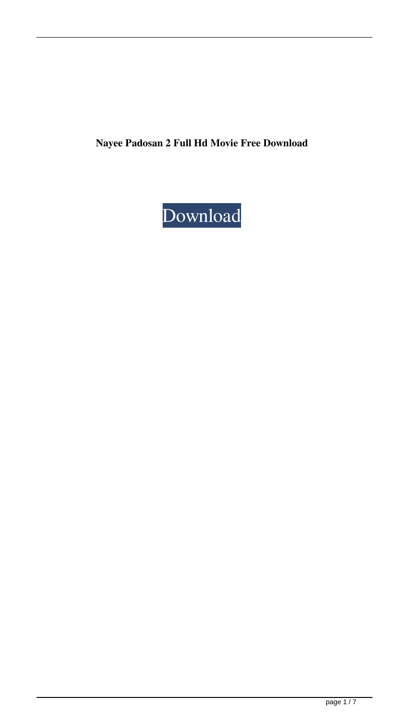**Nayee Padosan 2 Full Hd Movie Free Download**

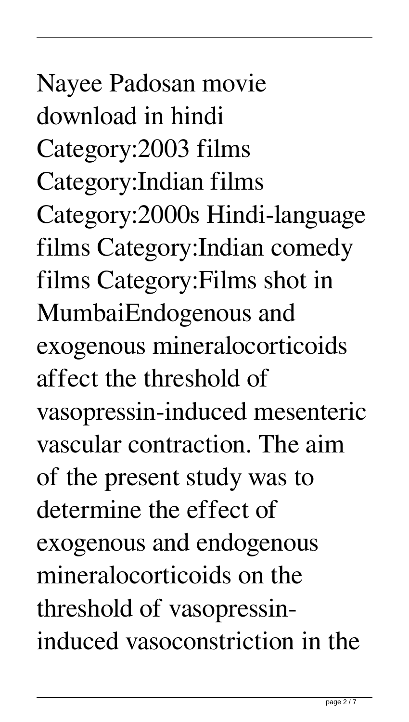## Nayee Padosan movie download in hindi Category:2003 films Category:Indian films Category:2000s Hindi-language films Category:Indian comedy films Category:Films shot in MumbaiEndogenous and exogenous mineralocorticoids affect the threshold of vasopressin-induced mesenteric vascular contraction. The aim of the present study was to determine the effect of exogenous and endogenous mineralocorticoids on the threshold of vasopressininduced vasoconstriction in the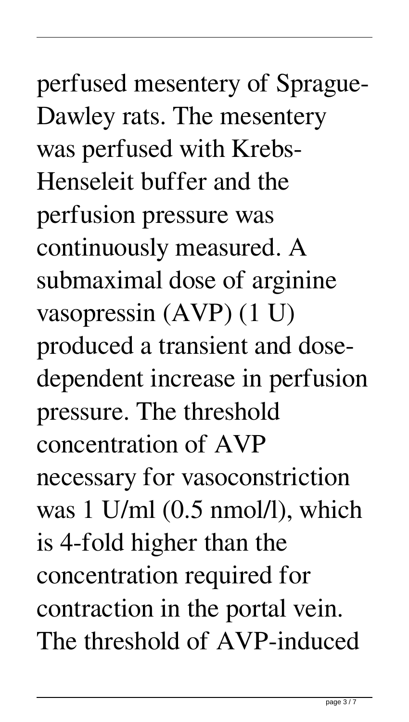perfused mesentery of Sprague-Dawley rats. The mesentery was perfused with Krebs-Henseleit buffer and the perfusion pressure was continuously measured. A submaximal dose of arginine vasopressin (AVP) (1 U) produced a transient and dosedependent increase in perfusion pressure. The threshold concentration of AVP necessary for vasoconstriction was 1 U/ml (0.5 nmol/l), which is 4-fold higher than the concentration required for contraction in the portal vein. The threshold of AVP-induced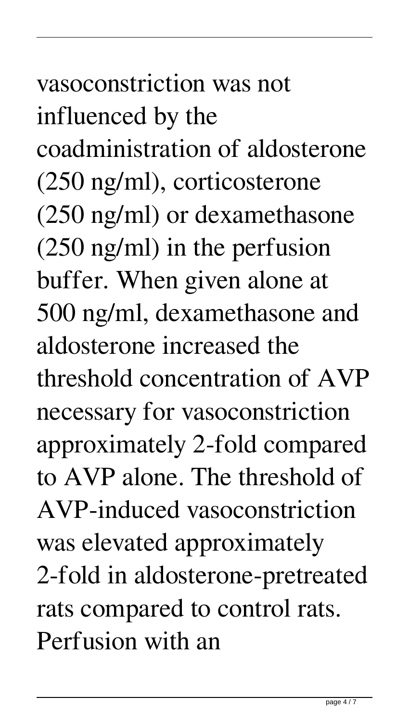## vasoconstriction was not influenced by the coadministration of aldosterone (250 ng/ml), corticosterone (250 ng/ml) or dexamethasone (250 ng/ml) in the perfusion buffer. When given alone at 500 ng/ml, dexamethasone and aldosterone increased the threshold concentration of AVP necessary for vasoconstriction approximately 2-fold compared to AVP alone. The threshold of AVP-induced vasoconstriction was elevated approximately 2-fold in aldosterone-pretreated rats compared to control rats. Perfusion with an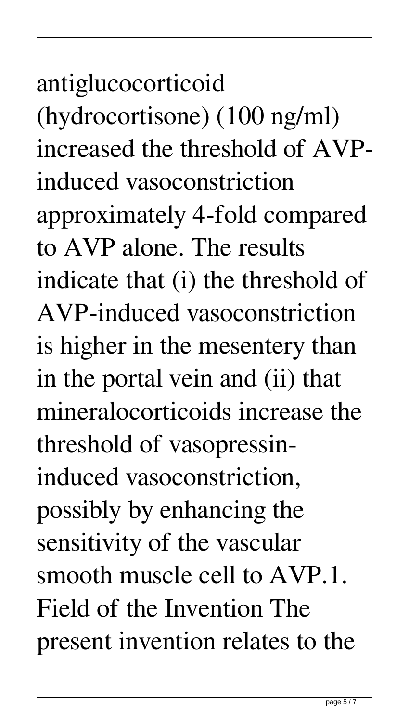## antiglucocorticoid (hydrocortisone) (100 ng/ml) increased the threshold of AVPinduced vasoconstriction approximately 4-fold compared to AVP alone. The results indicate that (i) the threshold of AVP-induced vasoconstriction

is higher in the mesentery than in the portal vein and (ii) that mineralocorticoids increase the threshold of vasopressininduced vasoconstriction, possibly by enhancing the sensitivity of the vascular smooth muscle cell to AVP.1. Field of the Invention The present invention relates to the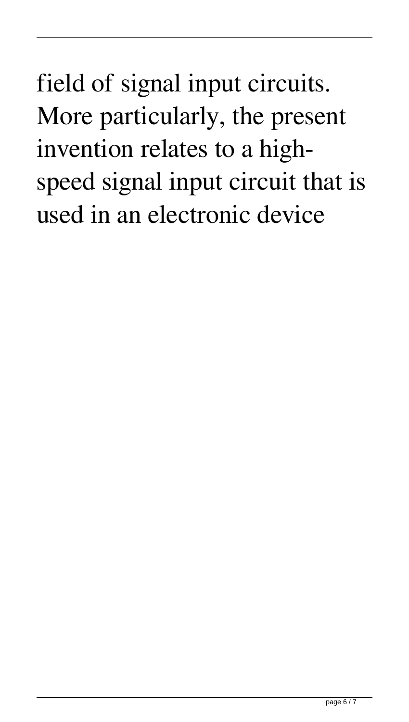field of signal input circuits. More particularly, the present invention relates to a highspeed signal input circuit that is used in an electronic device